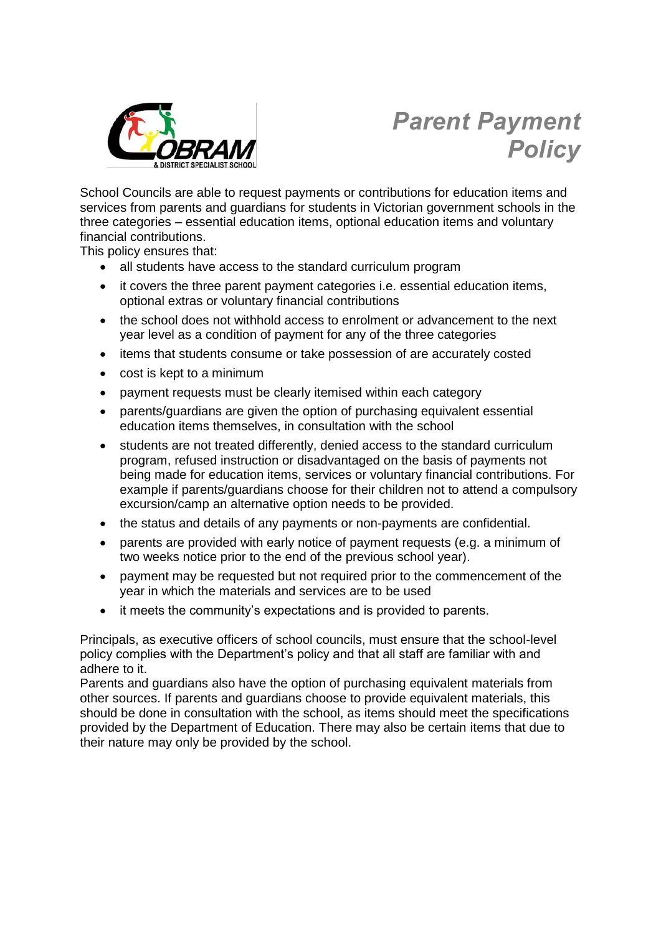

# *Parent Payment Policy*

School Councils are able to request payments or contributions for education items and services from parents and guardians for students in Victorian government schools in the three categories – essential education items, optional education items and voluntary financial contributions.

This policy ensures that:

- all students have access to the standard curriculum program
- it covers the three parent payment categories i.e. essential education items, optional extras or voluntary financial contributions
- the school does not withhold access to enrolment or advancement to the next year level as a condition of payment for any of the three categories
- items that students consume or take possession of are accurately costed
- cost is kept to a minimum
- payment requests must be clearly itemised within each category
- parents/guardians are given the option of purchasing equivalent essential education items themselves, in consultation with the school
- students are not treated differently, denied access to the standard curriculum program, refused instruction or disadvantaged on the basis of payments not being made for education items, services or voluntary financial contributions. For example if parents/guardians choose for their children not to attend a compulsory excursion/camp an alternative option needs to be provided.
- the status and details of any payments or non-payments are confidential.
- parents are provided with early notice of payment requests (e.g. a minimum of two weeks notice prior to the end of the previous school year).
- payment may be requested but not required prior to the commencement of the year in which the materials and services are to be used
- it meets the community's expectations and is provided to parents.

Principals, as executive officers of school councils, must ensure that the school-level policy complies with the Department's policy and that all staff are familiar with and adhere to it.

Parents and guardians also have the option of purchasing equivalent materials from other sources. If parents and guardians choose to provide equivalent materials, this should be done in consultation with the school, as items should meet the specifications provided by the Department of Education. There may also be certain items that due to their nature may only be provided by the school.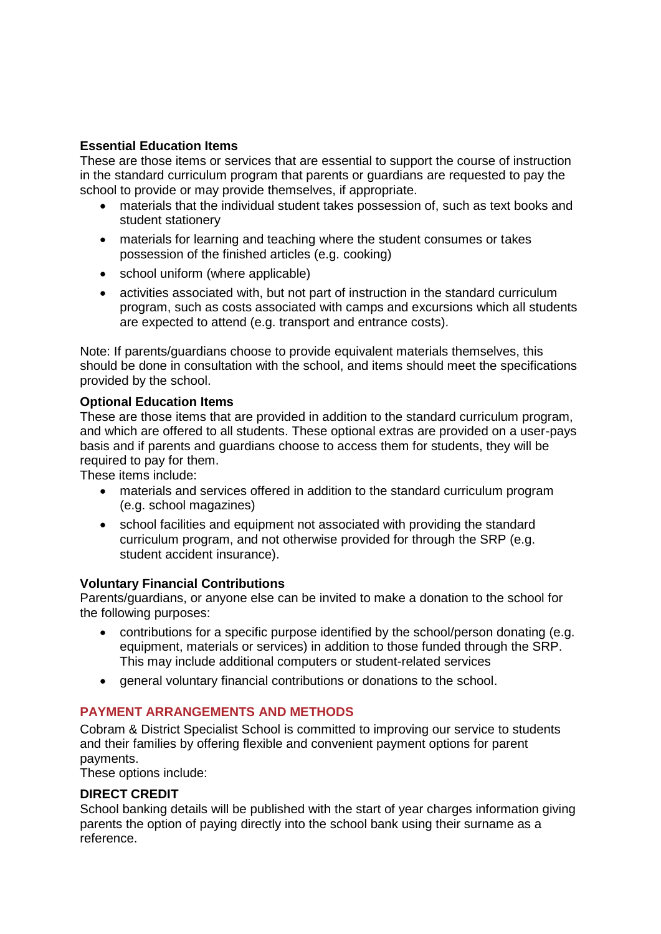# **Essential Education Items**

These are those items or services that are essential to support the course of instruction in the standard curriculum program that parents or guardians are requested to pay the school to provide or may provide themselves, if appropriate.

- materials that the individual student takes possession of, such as text books and student stationery
- materials for learning and teaching where the student consumes or takes possession of the finished articles (e.g. cooking)
- school uniform (where applicable)
- activities associated with, but not part of instruction in the standard curriculum program, such as costs associated with camps and excursions which all students are expected to attend (e.g. transport and entrance costs).

Note: If parents/guardians choose to provide equivalent materials themselves, this should be done in consultation with the school, and items should meet the specifications provided by the school.

## **Optional Education Items**

These are those items that are provided in addition to the standard curriculum program, and which are offered to all students. These optional extras are provided on a user-pays basis and if parents and guardians choose to access them for students, they will be required to pay for them.

These items include:

- materials and services offered in addition to the standard curriculum program (e.g. school magazines)
- school facilities and equipment not associated with providing the standard curriculum program, and not otherwise provided for through the SRP (e.g. student accident insurance).

## **Voluntary Financial Contributions**

Parents/guardians, or anyone else can be invited to make a donation to the school for the following purposes:

- contributions for a specific purpose identified by the school/person donating (e.g. equipment, materials or services) in addition to those funded through the SRP. This may include additional computers or student-related services
- general voluntary financial contributions or donations to the school.

## **PAYMENT ARRANGEMENTS AND METHODS**

Cobram & District Specialist School is committed to improving our service to students and their families by offering flexible and convenient payment options for parent payments.

These options include:

## **DIRECT CREDIT**

School banking details will be published with the start of year charges information giving parents the option of paying directly into the school bank using their surname as a reference.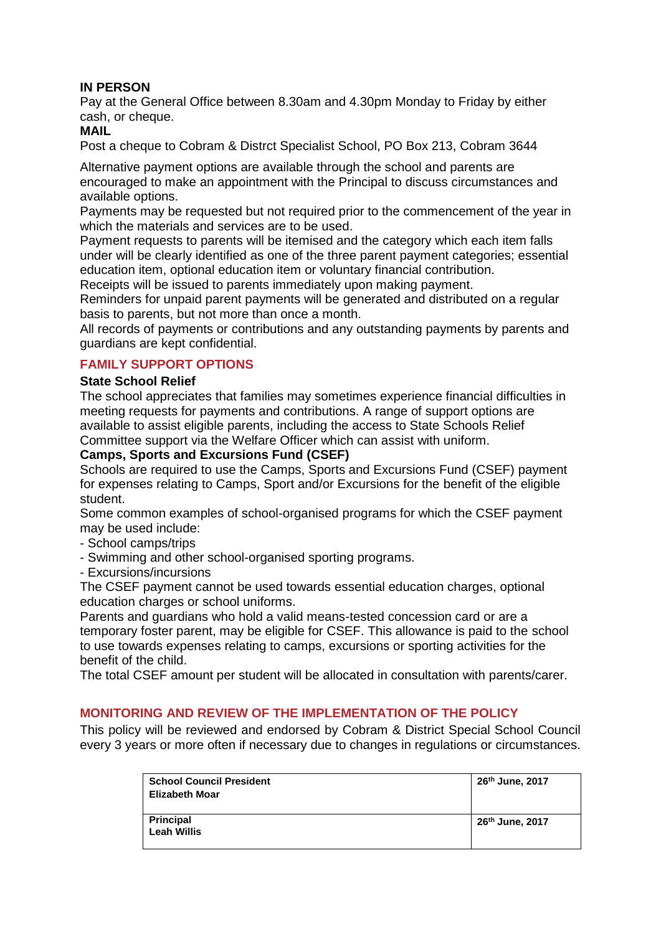## **IN PERSON**

Pay at the General Office between 8.30am and 4.30pm Monday to Friday by either cash, or cheque.

#### **MAIL**

Post a cheque to Cobram & Distrct Specialist School, PO Box 213, Cobram 3644

Alternative payment options are available through the school and parents are encouraged to make an appointment with the Principal to discuss circumstances and available options.

Payments may be requested but not required prior to the commencement of the year in which the materials and services are to be used.

Payment requests to parents will be itemised and the category which each item falls under will be clearly identified as one of the three parent payment categories; essential education item, optional education item or voluntary financial contribution.

Receipts will be issued to parents immediately upon making payment.

Reminders for unpaid parent payments will be generated and distributed on a regular basis to parents, but not more than once a month.

All records of payments or contributions and any outstanding payments by parents and guardians are kept confidential.

#### **FAMILY SUPPORT OPTIONS**

#### **State School Relief**

The school appreciates that families may sometimes experience financial difficulties in meeting requests for payments and contributions. A range of support options are available to assist eligible parents, including the access to State Schools Relief Committee support via the Welfare Officer which can assist with uniform.

#### **Camps, Sports and Excursions Fund (CSEF)**

Schools are required to use the Camps, Sports and Excursions Fund (CSEF) payment for expenses relating to Camps, Sport and/or Excursions for the benefit of the eligible student.

Some common examples of school-organised programs for which the CSEF payment may be used include:

- School camps/trips
- Swimming and other school-organised sporting programs.
- Excursions/incursions

The CSEF payment cannot be used towards essential education charges, optional education charges or school uniforms.

Parents and guardians who hold a valid means-tested concession card or are a temporary foster parent, may be eligible for CSEF. This allowance is paid to the school to use towards expenses relating to camps, excursions or sporting activities for the benefit of the child.

The total CSEF amount per student will be allocated in consultation with parents/carer.

#### **MONITORING AND REVIEW OF THE IMPLEMENTATION OF THE POLICY**

This policy will be reviewed and endorsed by Cobram & District Special School Council every 3 years or more often if necessary due to changes in regulations or circumstances.

| <b>School Council President</b> | 26 <sup>th</sup> June, 2017 |
|---------------------------------|-----------------------------|
| Elizabeth Moar                  |                             |
|                                 |                             |
| Principal                       | 26 <sup>th</sup> June, 2017 |
| Leah Willis                     |                             |
|                                 |                             |